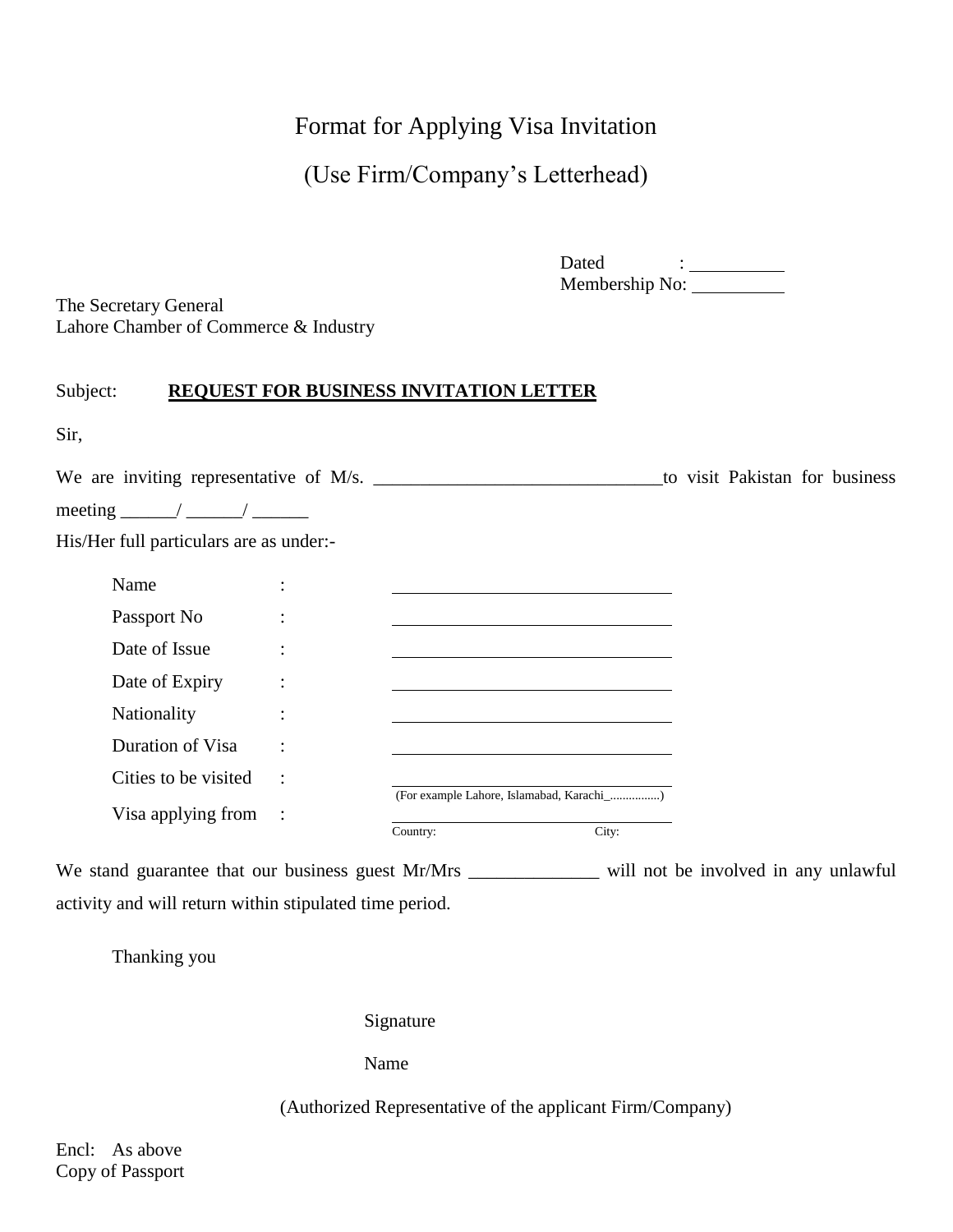# Format for Applying Visa Invitation

# (Use Firm/Company's Letterhead)

Dated : Membership No:

The Secretary General Lahore Chamber of Commerce & Industry

# Subject: **REQUEST FOR BUSINESS INVITATION LETTER**

| Sir,                                    |                        |          |                                           |       |  |                                |
|-----------------------------------------|------------------------|----------|-------------------------------------------|-------|--|--------------------------------|
|                                         |                        |          |                                           |       |  | to visit Pakistan for business |
|                                         |                        |          |                                           |       |  |                                |
| His/Her full particulars are as under:- |                        |          |                                           |       |  |                                |
| Name                                    | $\bullet$              |          |                                           |       |  |                                |
| Passport No                             |                        |          |                                           |       |  |                                |
| Date of Issue                           | $\ddot{\cdot}$         |          |                                           |       |  |                                |
| Date of Expiry                          | $\bullet$<br>$\bullet$ |          |                                           |       |  |                                |
| Nationality                             | $\bullet$              |          |                                           |       |  |                                |
| Duration of Visa                        | $\bullet$              |          |                                           |       |  |                                |
| Cities to be visited                    | $\ddot{\phantom{a}}$   |          |                                           |       |  |                                |
| Visa applying from                      |                        | Country: | (For example Lahore, Islamabad, Karachi_) | City: |  |                                |

We stand guarantee that our business guest Mr/Mrs \_\_\_\_\_\_\_\_\_\_\_\_\_\_\_ will not be involved in any unlawful activity and will return within stipulated time period.

Thanking you

Signature

Name

(Authorized Representative of the applicant Firm/Company)